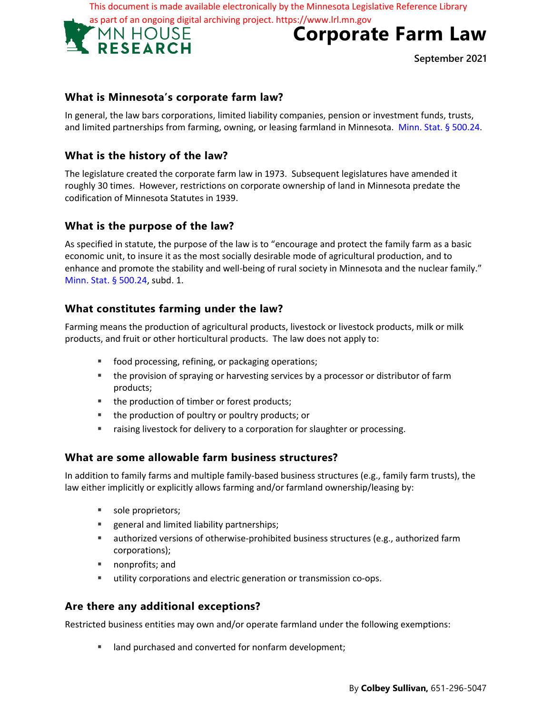This document is made available electronically by the Minnesota Legislative Reference Library



# **Corporate Farm Law**

**September 2021**

# **What is Minnesota's corporate farm law?**

In general, the law bars corporations, limited liability companies, pension or investment funds, trusts, and limited partnerships from farming, owning, or leasing farmland in Minnesota. Minn. Stat. § 500.24.

# **What is the history of the law?**

The legislature created the corporate farm law in 1973. Subsequent legislatures have amended it roughly 30 times. However, restrictions on corporate ownership of land in Minnesota predate the codification of Minnesota Statutes in 1939.

## **What is the purpose of the law?**

As specified in statute, the purpose of the law is to "encourage and protect the family farm as a basic economic unit, to insure it as the most socially desirable mode of agricultural production, and to enhance and promote the stability and well-being of rural society in Minnesota and the nuclear family." Minn. Stat. § 500.24, subd. 1.

## **What constitutes farming under the law?**

Farming means the production of agricultural products, livestock or livestock products, milk or milk products, and fruit or other horticultural products. The law does not apply to:

- food processing, refining, or packaging operations;
- **the provision of spraying or harvesting services by a processor or distributor of farm** products;
- the production of timber or forest products;
- **the production of poultry or poultry products; or**
- raising livestock for delivery to a corporation for slaughter or processing.

## **What are some allowable farm business structures?**

In addition to family farms and multiple family-based business structures (e.g., family farm trusts), the law either implicitly or explicitly allows farming and/or farmland ownership/leasing by:

- sole proprietors;
- **EXEDEN** general and limited liability partnerships;
- **EXECT** authorized versions of otherwise-prohibited business structures (e.g., authorized farm corporations);
- nonprofits; and
- utility corporations and electric generation or transmission co-ops.

## **Are there any additional exceptions?**

Restricted business entities may own and/or operate farmland under the following exemptions:

**IF** land purchased and converted for nonfarm development;